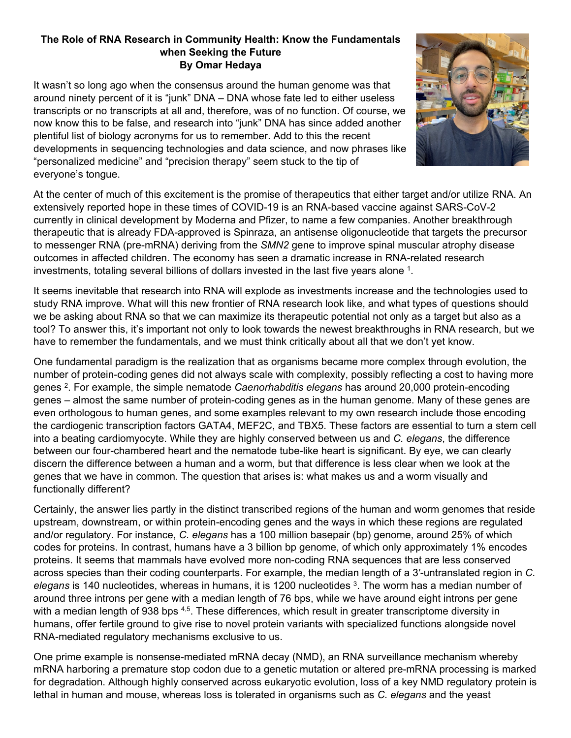## **The Role of RNA Research in Community Health: Know the Fundamentals when Seeking the Future By Omar Hedaya**

It wasn't so long ago when the consensus around the human genome was that around ninety percent of it is "junk" DNA – DNA whose fate led to either useless transcripts or no transcripts at all and, therefore, was of no function. Of course, we now know this to be false, and research into "junk" DNA has since added another plentiful list of biology acronyms for us to remember. Add to this the recent developments in sequencing technologies and data science, and now phrases like "personalized medicine" and "precision therapy" seem stuck to the tip of everyone's tongue.



At the center of much of this excitement is the promise of therapeutics that either target and/or utilize RNA. An extensively reported hope in these times of COVID-19 is an RNA-based vaccine against SARS-CoV-2 currently in clinical development by Moderna and Pfizer, to name a few companies. Another breakthrough therapeutic that is already FDA-approved is Spinraza, an antisense oligonucleotide that targets the precursor to messenger RNA (pre-mRNA) deriving from the *SMN2* gene to improve spinal muscular atrophy disease outcomes in affected children. The economy has seen a dramatic increase in RNA-related research investments, totaling several billions of dollars invested in the last five years alone <sup>1</sup>.

It seems inevitable that research into RNA will explode as investments increase and the technologies used to study RNA improve. What will this new frontier of RNA research look like, and what types of questions should we be asking about RNA so that we can maximize its therapeutic potential not only as a target but also as a tool? To answer this, it's important not only to look towards the newest breakthroughs in RNA research, but we have to remember the fundamentals, and we must think critically about all that we don't yet know.

One fundamental paradigm is the realization that as organisms became more complex through evolution, the number of protein-coding genes did not always scale with complexity, possibly reflecting a cost to having more genes 2. For example, the simple nematode *Caenorhabditis elegans* has around 20,000 protein-encoding genes – almost the same number of protein-coding genes as in the human genome. Many of these genes are even orthologous to human genes, and some examples relevant to my own research include those encoding the cardiogenic transcription factors GATA4, MEF2C, and TBX5. These factors are essential to turn a stem cell into a beating cardiomyocyte. While they are highly conserved between us and *C. elegans*, the difference between our four-chambered heart and the nematode tube-like heart is significant. By eye, we can clearly discern the difference between a human and a worm, but that difference is less clear when we look at the genes that we have in common. The question that arises is: what makes us and a worm visually and functionally different?

Certainly, the answer lies partly in the distinct transcribed regions of the human and worm genomes that reside upstream, downstream, or within protein-encoding genes and the ways in which these regions are regulated and/or regulatory. For instance, *C. elegans* has a 100 million basepair (bp) genome, around 25% of which codes for proteins. In contrast, humans have a 3 billion bp genome, of which only approximately 1% encodes proteins. It seems that mammals have evolved more non-coding RNA sequences that are less conserved across species than their coding counterparts. For example, the median length of a 3′-untranslated region in *C. elegans* is 140 nucleotides, whereas in humans, it is 1200 nucleotides 3. The worm has a median number of around three introns per gene with a median length of 76 bps, while we have around eight introns per gene with a median length of 938 bps 4,5. These differences, which result in greater transcriptome diversity in humans, offer fertile ground to give rise to novel protein variants with specialized functions alongside novel RNA-mediated regulatory mechanisms exclusive to us.

One prime example is nonsense-mediated mRNA decay (NMD), an RNA surveillance mechanism whereby mRNA harboring a premature stop codon due to a genetic mutation or altered pre-mRNA processing is marked for degradation. Although highly conserved across eukaryotic evolution, loss of a key NMD regulatory protein is lethal in human and mouse, whereas loss is tolerated in organisms such as *C. elegans* and the yeast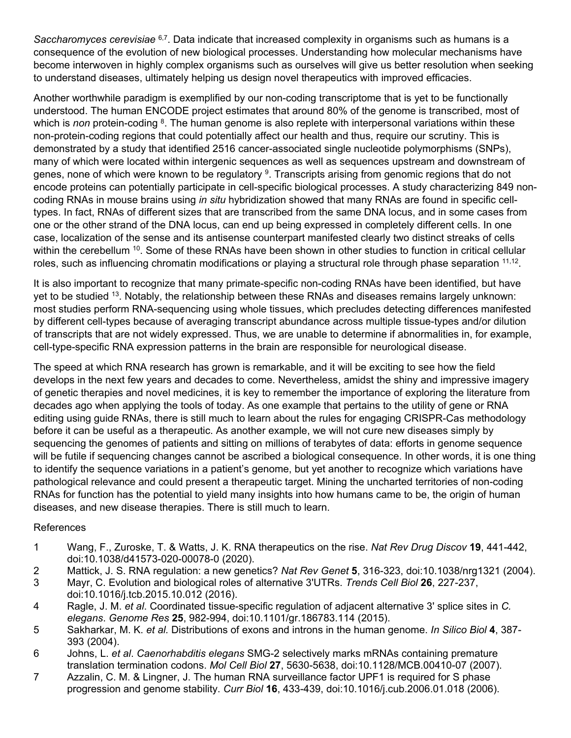*Saccharomyces cerevisiae* 6,7. Data indicate that increased complexity in organisms such as humans is a consequence of the evolution of new biological processes. Understanding how molecular mechanisms have become interwoven in highly complex organisms such as ourselves will give us better resolution when seeking to understand diseases, ultimately helping us design novel therapeutics with improved efficacies.

Another worthwhile paradigm is exemplified by our non-coding transcriptome that is yet to be functionally understood. The human ENCODE project estimates that around 80% of the genome is transcribed, most of which is *non* protein-coding <sup>8</sup>. The human genome is also replete with interpersonal variations within these non-protein-coding regions that could potentially affect our health and thus, require our scrutiny. This is demonstrated by a study that identified 2516 cancer-associated single nucleotide polymorphisms (SNPs), many of which were located within intergenic sequences as well as sequences upstream and downstream of genes, none of which were known to be regulatory <sup>9</sup>. Transcripts arising from genomic regions that do not encode proteins can potentially participate in cell-specific biological processes. A study characterizing 849 noncoding RNAs in mouse brains using *in situ* hybridization showed that many RNAs are found in specific celltypes. In fact, RNAs of different sizes that are transcribed from the same DNA locus, and in some cases from one or the other strand of the DNA locus, can end up being expressed in completely different cells. In one case, localization of the sense and its antisense counterpart manifested clearly two distinct streaks of cells within the cerebellum <sup>10</sup>. Some of these RNAs have been shown in other studies to function in critical cellular roles, such as influencing chromatin modifications or playing a structural role through phase separation  $11,12$ .

It is also important to recognize that many primate-specific non-coding RNAs have been identified, but have yet to be studied 13. Notably, the relationship between these RNAs and diseases remains largely unknown: most studies perform RNA-sequencing using whole tissues, which precludes detecting differences manifested by different cell-types because of averaging transcript abundance across multiple tissue-types and/or dilution of transcripts that are not widely expressed. Thus, we are unable to determine if abnormalities in, for example, cell-type-specific RNA expression patterns in the brain are responsible for neurological disease.

The speed at which RNA research has grown is remarkable, and it will be exciting to see how the field develops in the next few years and decades to come. Nevertheless, amidst the shiny and impressive imagery of genetic therapies and novel medicines, it is key to remember the importance of exploring the literature from decades ago when applying the tools of today. As one example that pertains to the utility of gene or RNA editing using guide RNAs, there is still much to learn about the rules for engaging CRISPR-Cas methodology before it can be useful as a therapeutic. As another example, we will not cure new diseases simply by sequencing the genomes of patients and sitting on millions of terabytes of data: efforts in genome sequence will be futile if sequencing changes cannot be ascribed a biological consequence. In other words, it is one thing to identify the sequence variations in a patient's genome, but yet another to recognize which variations have pathological relevance and could present a therapeutic target. Mining the uncharted territories of non-coding RNAs for function has the potential to yield many insights into how humans came to be, the origin of human diseases, and new disease therapies. There is still much to learn.

## References

- 1 Wang, F., Zuroske, T. & Watts, J. K. RNA therapeutics on the rise. *Nat Rev Drug Discov* **19**, 441-442, doi:10.1038/d41573-020-00078-0 (2020).
- 2 Mattick, J. S. RNA regulation: a new genetics? *Nat Rev Genet* **5**, 316-323, doi:10.1038/nrg1321 (2004).
- 3 Mayr, C. Evolution and biological roles of alternative 3'UTRs. *Trends Cell Biol* **26**, 227-237, doi:10.1016/j.tcb.2015.10.012 (2016).
- 4 Ragle, J. M. *et al*. Coordinated tissue-specific regulation of adjacent alternative 3' splice sites in *C. elegans*. *Genome Res* **25**, 982-994, doi:10.1101/gr.186783.114 (2015).
- 5 Sakharkar, M. K. *et al.* Distributions of exons and introns in the human genome. *In Silico Biol* **4**, 387- 393 (2004).
- 6 Johns, L. *et al*. *Caenorhabditis elegans* SMG-2 selectively marks mRNAs containing premature translation termination codons. *Mol Cell Biol* **27**, 5630-5638, doi:10.1128/MCB.00410-07 (2007).
- 7 Azzalin, C. M. & Lingner, J. The human RNA surveillance factor UPF1 is required for S phase progression and genome stability. *Curr Biol* **16**, 433-439, doi:10.1016/j.cub.2006.01.018 (2006).